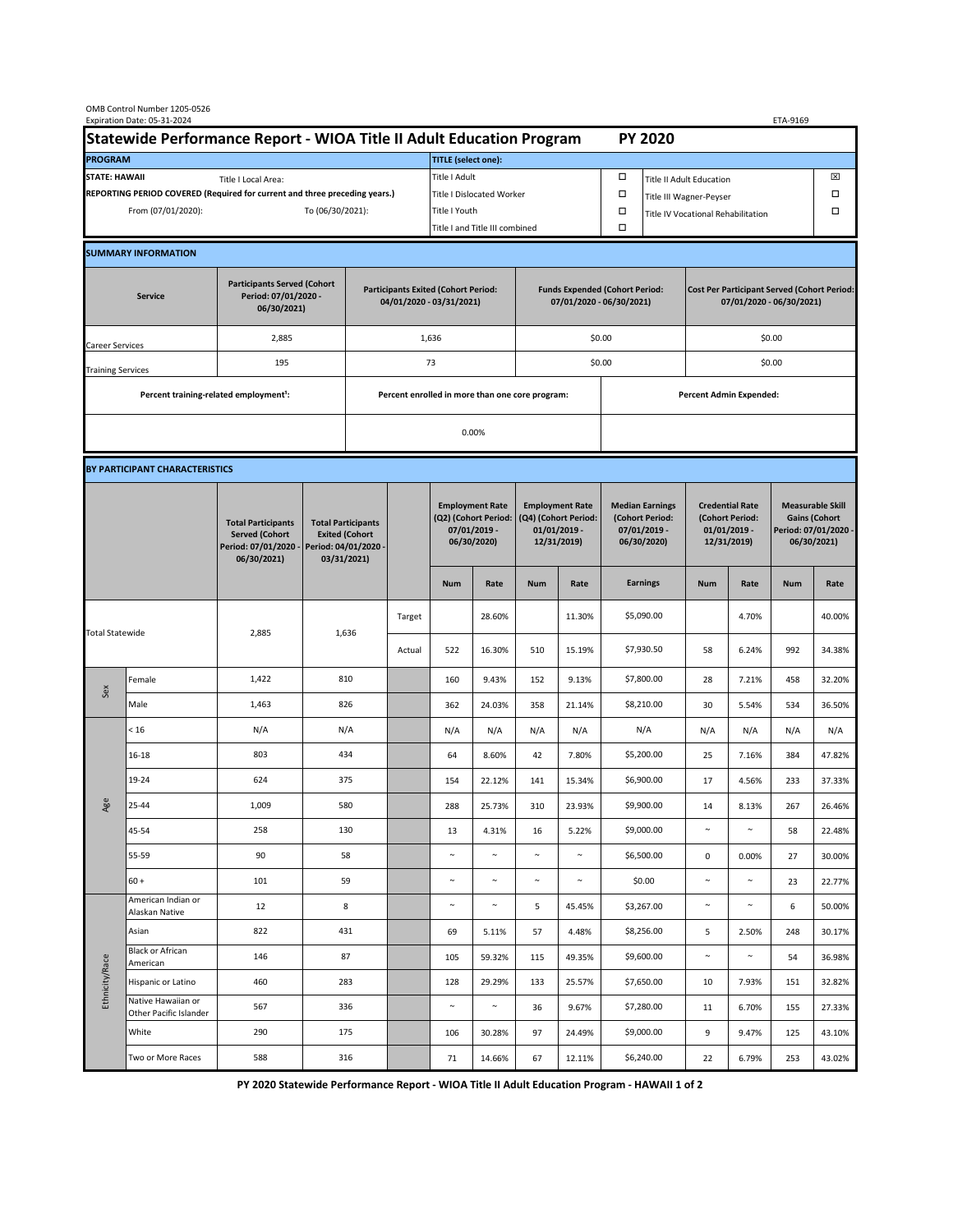| OMB Control Number 1205-0526<br>Expiration Date: 05-31-2024                                 |                                                                      |                                                                                           |                                                                                           |    |                                                 |                                                                               |                                                                   |                                                                                 |                  |                                                                            | ETA-9169                                                                       |                                                                            |                 |                                                                                        |                  |
|---------------------------------------------------------------------------------------------|----------------------------------------------------------------------|-------------------------------------------------------------------------------------------|-------------------------------------------------------------------------------------------|----|-------------------------------------------------|-------------------------------------------------------------------------------|-------------------------------------------------------------------|---------------------------------------------------------------------------------|------------------|----------------------------------------------------------------------------|--------------------------------------------------------------------------------|----------------------------------------------------------------------------|-----------------|----------------------------------------------------------------------------------------|------------------|
|                                                                                             | Statewide Performance Report - WIOA Title II Adult Education Program |                                                                                           |                                                                                           |    |                                                 |                                                                               |                                                                   |                                                                                 |                  |                                                                            | <b>PY 2020</b>                                                                 |                                                                            |                 |                                                                                        |                  |
| <b>PROGRAM</b>                                                                              |                                                                      |                                                                                           |                                                                                           |    |                                                 | <b>TITLE</b> (select one):                                                    |                                                                   |                                                                                 |                  |                                                                            |                                                                                |                                                                            |                 |                                                                                        |                  |
| <b>STATE: HAWAII</b><br>Title I Local Area:                                                 |                                                                      |                                                                                           |                                                                                           |    |                                                 | Title I Adult                                                                 |                                                                   |                                                                                 |                  | □<br><b>Title II Adult Education</b>                                       |                                                                                |                                                                            |                 |                                                                                        | ⊠                |
| REPORTING PERIOD COVERED (Required for current and three preceding years.)                  |                                                                      |                                                                                           |                                                                                           |    | <b>Title I Dislocated Worker</b>                |                                                                               |                                                                   |                                                                                 |                  | $\Box$                                                                     | Title III Wagner-Peyser                                                        | П                                                                          |                 |                                                                                        |                  |
| From (07/01/2020):                                                                          |                                                                      |                                                                                           | To (06/30/2021):                                                                          |    |                                                 | Title I Youth                                                                 |                                                                   |                                                                                 | $\Box$<br>$\Box$ |                                                                            |                                                                                | Title IV Vocational Rehabilitation                                         |                 |                                                                                        | П                |
|                                                                                             |                                                                      |                                                                                           |                                                                                           |    |                                                 | Title I and Title III combined                                                |                                                                   |                                                                                 |                  |                                                                            |                                                                                |                                                                            |                 |                                                                                        |                  |
|                                                                                             | <b>SUMMARY INFORMATION</b>                                           |                                                                                           |                                                                                           |    |                                                 |                                                                               |                                                                   |                                                                                 |                  |                                                                            |                                                                                |                                                                            |                 |                                                                                        |                  |
| <b>Participants Served (Cohort</b><br>Period: 07/01/2020 -<br><b>Service</b><br>06/30/2021) |                                                                      |                                                                                           | <b>Participants Exited (Cohort Period:</b><br>04/01/2020 - 03/31/2021)                    |    |                                                 |                                                                               | <b>Funds Expended (Cohort Period:</b><br>07/01/2020 - 06/30/2021) |                                                                                 |                  |                                                                            | <b>Cost Per Participant Served (Cohort Period:</b><br>07/01/2020 - 06/30/2021) |                                                                            |                 |                                                                                        |                  |
| Career Services                                                                             |                                                                      | 2,885                                                                                     |                                                                                           |    |                                                 | 1,636                                                                         |                                                                   | \$0.00                                                                          |                  |                                                                            |                                                                                | \$0.00                                                                     |                 |                                                                                        |                  |
| <b>Training Services</b>                                                                    |                                                                      | 195                                                                                       |                                                                                           | 73 |                                                 |                                                                               |                                                                   | \$0.00                                                                          |                  |                                                                            | \$0.00                                                                         |                                                                            |                 |                                                                                        |                  |
|                                                                                             | Percent training-related employment <sup>1</sup> :                   |                                                                                           |                                                                                           |    | Percent enrolled in more than one core program: |                                                                               |                                                                   |                                                                                 |                  | Percent Admin Expended:                                                    |                                                                                |                                                                            |                 |                                                                                        |                  |
|                                                                                             |                                                                      |                                                                                           |                                                                                           |    | 0.00%                                           |                                                                               |                                                                   |                                                                                 |                  |                                                                            |                                                                                |                                                                            |                 |                                                                                        |                  |
| BY PARTICIPANT CHARACTERISTICS                                                              |                                                                      |                                                                                           |                                                                                           |    |                                                 |                                                                               |                                                                   |                                                                                 |                  |                                                                            |                                                                                |                                                                            |                 |                                                                                        |                  |
|                                                                                             |                                                                      | <b>Total Participants</b><br><b>Served (Cohort</b><br>Period: 07/01/2020 -<br>06/30/2021) | <b>Total Participants</b><br><b>Exited (Cohort</b><br>Period: 04/01/2020 -<br>03/31/2021) |    |                                                 | <b>Employment Rate</b><br>(Q2) (Cohort Period:<br>07/01/2019 -<br>06/30/2020) |                                                                   | <b>Employment Rate</b><br>(Q4) (Cohort Period:<br>$01/01/2019$ -<br>12/31/2019) |                  | <b>Median Earnings</b><br>(Cohort Period:<br>$07/01/2019 -$<br>06/30/2020) |                                                                                | <b>Credential Rate</b><br>(Cohort Period:<br>$01/01/2019$ -<br>12/31/2019) |                 | <b>Measurable Skill</b><br><b>Gains (Cohort</b><br>Period: 07/01/2020 -<br>06/30/2021) |                  |
|                                                                                             |                                                                      |                                                                                           |                                                                                           |    |                                                 | <b>Num</b>                                                                    | Rate                                                              | <b>Num</b>                                                                      | Rate             |                                                                            | <b>Earnings</b>                                                                | <b>Num</b>                                                                 | Rate            | <b>Num</b>                                                                             | Rate             |
| <b>Total Statewide</b>                                                                      |                                                                      | 2,885                                                                                     | 1,636                                                                                     |    | Target                                          |                                                                               | 28.60%                                                            |                                                                                 | 11.30%           |                                                                            | \$5,090.00                                                                     |                                                                            | 4.70%           |                                                                                        | 40.00%           |
|                                                                                             |                                                                      |                                                                                           |                                                                                           |    | Actual                                          | 522                                                                           | 16.30%                                                            | 510                                                                             | 15.19%           |                                                                            | \$7,930.50                                                                     | 58                                                                         | 6.24%           | 992                                                                                    | 34.38%           |
| Sex                                                                                         | Female                                                               | 1,422                                                                                     | 810                                                                                       |    |                                                 | 160                                                                           | 9.43%                                                             | 152                                                                             | 9.13%            |                                                                            | \$7,800.00                                                                     | 28                                                                         | 7.21%           | 458                                                                                    | 32.20%           |
|                                                                                             | Male                                                                 | 1,463                                                                                     | 826                                                                                       |    |                                                 | 362                                                                           | 24.03%                                                            | 358                                                                             | 21.14%           |                                                                            | \$8,210.00                                                                     | 30                                                                         | 5.54%           | 534                                                                                    | 36.50%           |
| Age                                                                                         | < 16                                                                 | N/A                                                                                       | N/A                                                                                       |    |                                                 | N/A                                                                           | N/A                                                               | N/A                                                                             | N/A              |                                                                            | N/A                                                                            | N/A                                                                        | N/A             | N/A                                                                                    | N/A              |
|                                                                                             | 16-18                                                                | 803                                                                                       | 434                                                                                       |    |                                                 | 64                                                                            | 8.60%                                                             | 42                                                                              | 7.80%            |                                                                            | \$5,200.00                                                                     | 25                                                                         | 7.16%           | 384                                                                                    | 47.82%           |
|                                                                                             | 19-24                                                                | 624                                                                                       | 375                                                                                       |    |                                                 | 154                                                                           | 22.12%                                                            | 141                                                                             | 15.34%           |                                                                            | \$6,900.00                                                                     | 17                                                                         | 4.56%           | 233                                                                                    | 37.33%           |
|                                                                                             | 25-44                                                                | 1,009                                                                                     | 580                                                                                       |    |                                                 | 288                                                                           | 25.73%                                                            | 310                                                                             | 23.93%           |                                                                            | \$9,900.00                                                                     | 14                                                                         | 8.13%           | 267                                                                                    | 26.46%           |
|                                                                                             | 45-54                                                                | 258                                                                                       | 130                                                                                       |    |                                                 | 13                                                                            | 4.31%                                                             | 16                                                                              | 5.22%            |                                                                            | \$9,000.00                                                                     | $\sim$                                                                     | $\sim$          | 58                                                                                     | 22.48%           |
|                                                                                             | 55-59                                                                | 90                                                                                        | 58                                                                                        |    |                                                 | $\sim$                                                                        | $\sim$                                                            | $\sim$                                                                          | $\sim$           |                                                                            | \$6,500.00                                                                     | $\pmb{0}$                                                                  | 0.00%           | 27                                                                                     | 30.00%           |
|                                                                                             | $60 +$<br>American Indian or                                         | 101                                                                                       | 59                                                                                        |    |                                                 | $\sim$                                                                        | $\sim$                                                            | $\sim$                                                                          | $\sim$           |                                                                            | \$0.00                                                                         | $\sim$                                                                     | $\sim$          | 23                                                                                     | 22.77%           |
| Ethnicity/Race                                                                              | Alaskan Native                                                       | 12                                                                                        | 8                                                                                         |    |                                                 | $\sim$                                                                        | $\sim$                                                            | 5                                                                               | 45.45%           |                                                                            | \$3,267.00                                                                     | $\sim$                                                                     | $\sim$          | 6                                                                                      | 50.00%           |
|                                                                                             | Asian<br><b>Black or African</b>                                     | 822<br>146                                                                                | 431<br>87                                                                                 |    |                                                 | 69<br>105                                                                     | 5.11%<br>59.32%                                                   | 57<br>115                                                                       | 4.48%<br>49.35%  |                                                                            | \$8,256.00<br>\$9,600.00                                                       | 5<br>$\sim$                                                                | 2.50%<br>$\sim$ | 248<br>54                                                                              | 30.17%<br>36.98% |
|                                                                                             | American<br>Hispanic or Latino                                       | 460                                                                                       | 283                                                                                       |    |                                                 | 128                                                                           | 29.29%                                                            | 133                                                                             | 25.57%           |                                                                            | \$7,650.00                                                                     | 10                                                                         | 7.93%           | 151                                                                                    | 32.82%           |
|                                                                                             | Native Hawaiian or                                                   | 567                                                                                       | 336                                                                                       |    |                                                 | $\sim$                                                                        | $\sim$                                                            | 36                                                                              | 9.67%            |                                                                            | \$7,280.00                                                                     | 11                                                                         | 6.70%           | 155                                                                                    | 27.33%           |
|                                                                                             | Other Pacific Islander<br>White                                      | 290                                                                                       | 175                                                                                       |    |                                                 | 106                                                                           | 30.28%                                                            | 97                                                                              | 24.49%           |                                                                            | \$9,000.00                                                                     | 9                                                                          | 9.47%           | 125                                                                                    | 43.10%           |
|                                                                                             | Two or More Races                                                    | 588                                                                                       | 316                                                                                       |    |                                                 | 71                                                                            | 14.66%                                                            | 67                                                                              | 12.11%           |                                                                            | \$6,240.00                                                                     | 22                                                                         | 6.79%           | 253                                                                                    | 43.02%           |
|                                                                                             |                                                                      |                                                                                           |                                                                                           |    |                                                 |                                                                               |                                                                   |                                                                                 |                  |                                                                            |                                                                                |                                                                            |                 |                                                                                        |                  |

 **PY 2020 Statewide Performance Report - WIOA Title II Adult Education Program - HAWAII 1 of 2**